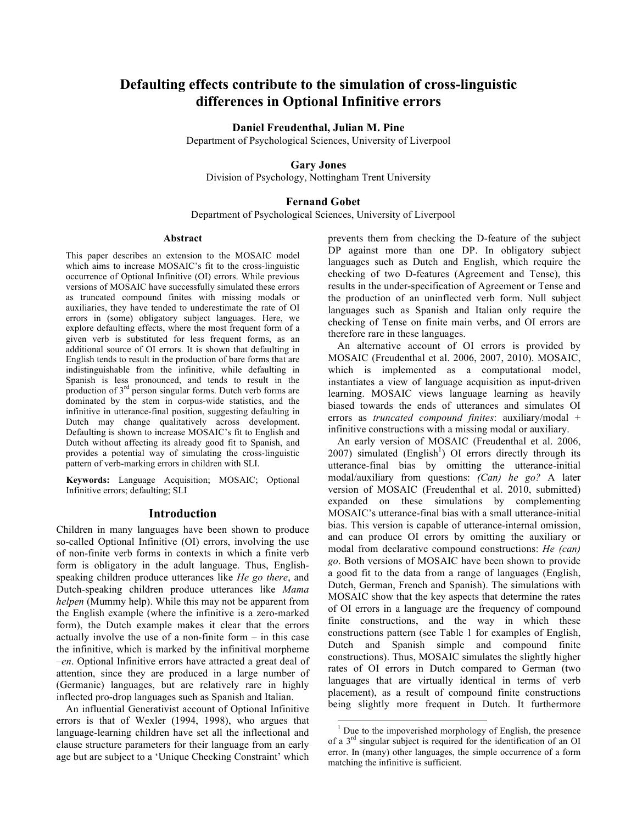# **Defaulting effects contribute to the simulation of cross-linguistic differences in Optional Infinitive errors**

## **Daniel Freudenthal, Julian M. Pine**

Department of Psychological Sciences, University of Liverpool

## **Gary Jones**

Division of Psychology, Nottingham Trent University

### **Fernand Gobet**

Department of Psychological Sciences, University of Liverpool

#### **Abstract**

This paper describes an extension to the MOSAIC model which aims to increase MOSAIC's fit to the cross-linguistic occurrence of Optional Infinitive (OI) errors. While previous versions of MOSAIC have successfully simulated these errors as truncated compound finites with missing modals or auxiliaries, they have tended to underestimate the rate of OI errors in (some) obligatory subject languages. Here, we explore defaulting effects, where the most frequent form of a given verb is substituted for less frequent forms, as an additional source of OI errors. It is shown that defaulting in English tends to result in the production of bare forms that are indistinguishable from the infinitive, while defaulting in Spanish is less pronounced, and tends to result in the production of 3<sup>rd</sup> person singular forms. Dutch verb forms are dominated by the stem in corpus-wide statistics, and the infinitive in utterance-final position, suggesting defaulting in Dutch may change qualitatively across development. Defaulting is shown to increase MOSAIC's fit to English and Dutch without affecting its already good fit to Spanish, and provides a potential way of simulating the cross-linguistic pattern of verb-marking errors in children with SLI.

**Keywords:** Language Acquisition; MOSAIC; Optional Infinitive errors; defaulting; SLI

# **Introduction**

Children in many languages have been shown to produce so-called Optional Infinitive (OI) errors, involving the use of non-finite verb forms in contexts in which a finite verb form is obligatory in the adult language. Thus, Englishspeaking children produce utterances like *He go there*, and Dutch-speaking children produce utterances like *Mama helpen* (Mummy help). While this may not be apparent from the English example (where the infinitive is a zero-marked form), the Dutch example makes it clear that the errors actually involve the use of a non-finite form – in this case the infinitive, which is marked by the infinitival morpheme *–en*. Optional Infinitive errors have attracted a great deal of attention, since they are produced in a large number of (Germanic) languages, but are relatively rare in highly inflected pro-drop languages such as Spanish and Italian.

An influential Generativist account of Optional Infinitive errors is that of Wexler (1994, 1998), who argues that language-learning children have set all the inflectional and clause structure parameters for their language from an early age but are subject to a 'Unique Checking Constraint' which prevents them from checking the D-feature of the subject DP against more than one DP. In obligatory subject languages such as Dutch and English, which require the checking of two D-features (Agreement and Tense), this results in the under-specification of Agreement or Tense and the production of an uninflected verb form. Null subject languages such as Spanish and Italian only require the checking of Tense on finite main verbs, and OI errors are therefore rare in these languages.

An alternative account of OI errors is provided by MOSAIC (Freudenthal et al. 2006, 2007, 2010). MOSAIC, which is implemented as a computational model, instantiates a view of language acquisition as input-driven learning. MOSAIC views language learning as heavily biased towards the ends of utterances and simulates OI errors as *truncated compound finites*: auxiliary/modal + infinitive constructions with a missing modal or auxiliary.

An early version of MOSAIC (Freudenthal et al. 2006,  $2007$ ) simulated (English<sup>1</sup>) OI errors directly through its utterance-final bias by omitting the utterance-initial modal/auxiliary from questions: *(Can) he go?* A later version of MOSAIC (Freudenthal et al. 2010, submitted) expanded on these simulations by complementing MOSAIC's utterance-final bias with a small utterance-initial bias. This version is capable of utterance-internal omission, and can produce OI errors by omitting the auxiliary or modal from declarative compound constructions: *He (can) go*. Both versions of MOSAIC have been shown to provide a good fit to the data from a range of languages (English, Dutch, German, French and Spanish). The simulations with MOSAIC show that the key aspects that determine the rates of OI errors in a language are the frequency of compound finite constructions, and the way in which these constructions pattern (see Table 1 for examples of English, Dutch and Spanish simple and compound finite constructions). Thus, MOSAIC simulates the slightly higher rates of OI errors in Dutch compared to German (two languages that are virtually identical in terms of verb placement), as a result of compound finite constructions being slightly more frequent in Dutch. It furthermore

 $<sup>1</sup>$  Due to the impoverished morphology of English, the presence</sup> of a 3rd singular subject is required for the identification of an OI error. In (many) other languages, the simple occurrence of a form matching the infinitive is sufficient.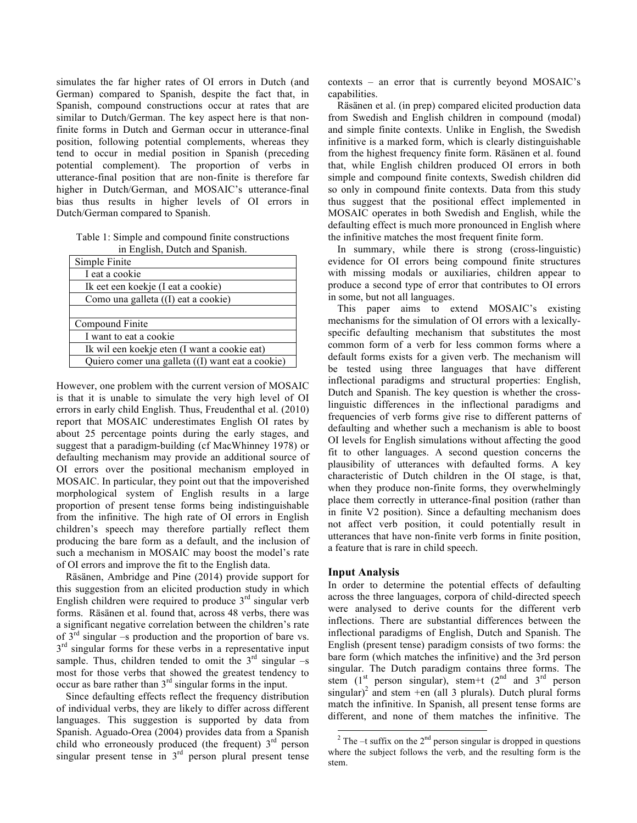simulates the far higher rates of OI errors in Dutch (and German) compared to Spanish, despite the fact that, in Spanish, compound constructions occur at rates that are similar to Dutch/German. The key aspect here is that nonfinite forms in Dutch and German occur in utterance-final position, following potential complements, whereas they tend to occur in medial position in Spanish (preceding potential complement). The proportion of verbs in utterance-final position that are non-finite is therefore far higher in Dutch/German, and MOSAIC's utterance-final bias thus results in higher levels of OI errors in Dutch/German compared to Spanish.

Table 1: Simple and compound finite constructions in English, Dutch and Spanish.

| Simple Finite                                    |
|--------------------------------------------------|
| I eat a cookie                                   |
| Ik eet een koekje (I eat a cookie)               |
| Como una galleta ((I) eat a cookie)              |
|                                                  |
| Compound Finite                                  |
| I want to eat a cookie                           |
| Ik wil een koekje eten (I want a cookie eat)     |
| Quiero comer una galleta ((I) want eat a cookie) |

However, one problem with the current version of MOSAIC is that it is unable to simulate the very high level of OI errors in early child English. Thus, Freudenthal et al. (2010) report that MOSAIC underestimates English OI rates by about 25 percentage points during the early stages, and suggest that a paradigm-building (cf MacWhinney 1978) or defaulting mechanism may provide an additional source of OI errors over the positional mechanism employed in MOSAIC. In particular, they point out that the impoverished morphological system of English results in a large proportion of present tense forms being indistinguishable from the infinitive. The high rate of OI errors in English children's speech may therefore partially reflect them producing the bare form as a default, and the inclusion of such a mechanism in MOSAIC may boost the model's rate of OI errors and improve the fit to the English data.

Räsänen, Ambridge and Pine (2014) provide support for this suggestion from an elicited production study in which English children were required to produce  $3<sup>rd</sup>$  singular verb forms. Räsänen et al. found that, across 48 verbs, there was a significant negative correlation between the children's rate of  $3<sup>rd</sup>$  singular –s production and the proportion of bare vs.  $3<sup>rd</sup>$  singular forms for these verbs in a representative input sample. Thus, children tended to omit the  $3<sup>rd</sup>$  singular –s most for those verbs that showed the greatest tendency to occur as bare rather than  $3<sup>rd</sup>$  singular forms in the input.

Since defaulting effects reflect the frequency distribution of individual verbs, they are likely to differ across different languages. This suggestion is supported by data from Spanish. Aguado-Orea (2004) provides data from a Spanish child who erroneously produced (the frequent)  $3<sup>rd</sup>$  person singular present tense in 3<sup>rd</sup> person plural present tense

contexts – an error that is currently beyond MOSAIC's capabilities.

Räsänen et al. (in prep) compared elicited production data from Swedish and English children in compound (modal) and simple finite contexts. Unlike in English, the Swedish infinitive is a marked form, which is clearly distinguishable from the highest frequency finite form. Räsänen et al. found that, while English children produced OI errors in both simple and compound finite contexts, Swedish children did so only in compound finite contexts. Data from this study thus suggest that the positional effect implemented in MOSAIC operates in both Swedish and English, while the defaulting effect is much more pronounced in English where the infinitive matches the most frequent finite form.

In summary, while there is strong (cross-linguistic) evidence for OI errors being compound finite structures with missing modals or auxiliaries, children appear to produce a second type of error that contributes to OI errors in some, but not all languages.

This paper aims to extend MOSAIC's existing mechanisms for the simulation of OI errors with a lexicallyspecific defaulting mechanism that substitutes the most common form of a verb for less common forms where a default forms exists for a given verb. The mechanism will be tested using three languages that have different inflectional paradigms and structural properties: English, Dutch and Spanish. The key question is whether the crosslinguistic differences in the inflectional paradigms and frequencies of verb forms give rise to different patterns of defaulting and whether such a mechanism is able to boost OI levels for English simulations without affecting the good fit to other languages. A second question concerns the plausibility of utterances with defaulted forms. A key characteristic of Dutch children in the OI stage, is that, when they produce non-finite forms, they overwhelmingly place them correctly in utterance-final position (rather than in finite V2 position). Since a defaulting mechanism does not affect verb position, it could potentially result in utterances that have non-finite verb forms in finite position, a feature that is rare in child speech.

#### **Input Analysis**

In order to determine the potential effects of defaulting across the three languages, corpora of child-directed speech were analysed to derive counts for the different verb inflections. There are substantial differences between the inflectional paradigms of English, Dutch and Spanish. The English (present tense) paradigm consists of two forms: the bare form (which matches the infinitive) and the 3rd person singular. The Dutch paradigm contains three forms. The stem  $(1^{st}$  person singular), stem+t  $(2^{nd}$  and  $3^{rd}$  person singular)<sup>2</sup> and stem +en (all 3 plurals). Dutch plural forms match the infinitive. In Spanish, all present tense forms are different, and none of them matches the infinitive. The

 $2^{\circ}$  The –t suffix on the  $2^{\text{nd}}$  person singular is dropped in questions where the subject follows the verb, and the resulting form is the stem.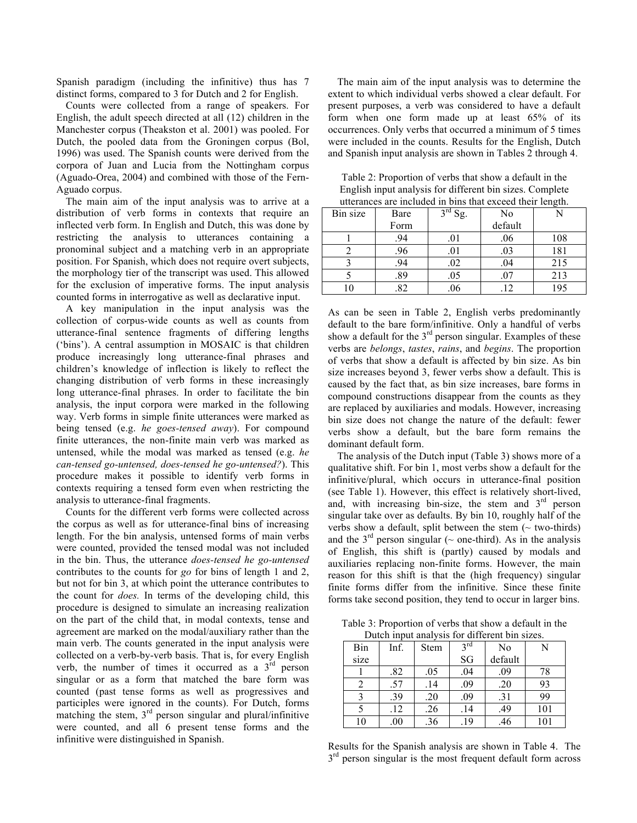Spanish paradigm (including the infinitive) thus has 7 distinct forms, compared to 3 for Dutch and 2 for English.

Counts were collected from a range of speakers. For English, the adult speech directed at all (12) children in the Manchester corpus (Theakston et al. 2001) was pooled. For Dutch, the pooled data from the Groningen corpus (Bol, 1996) was used. The Spanish counts were derived from the corpora of Juan and Lucia from the Nottingham corpus (Aguado-Orea, 2004) and combined with those of the Fern-Aguado corpus.

The main aim of the input analysis was to arrive at a distribution of verb forms in contexts that require an inflected verb form. In English and Dutch, this was done by restricting the analysis to utterances containing a pronominal subject and a matching verb in an appropriate position. For Spanish, which does not require overt subjects, the morphology tier of the transcript was used. This allowed for the exclusion of imperative forms. The input analysis counted forms in interrogative as well as declarative input.

A key manipulation in the input analysis was the collection of corpus-wide counts as well as counts from utterance-final sentence fragments of differing lengths ('bins'). A central assumption in MOSAIC is that children produce increasingly long utterance-final phrases and children's knowledge of inflection is likely to reflect the changing distribution of verb forms in these increasingly long utterance-final phrases. In order to facilitate the bin analysis, the input corpora were marked in the following way. Verb forms in simple finite utterances were marked as being tensed (e.g. *he goes-tensed away*). For compound finite utterances, the non-finite main verb was marked as untensed, while the modal was marked as tensed (e.g. *he can-tensed go-untensed, does-tensed he go-untensed?*). This procedure makes it possible to identify verb forms in contexts requiring a tensed form even when restricting the analysis to utterance-final fragments.

Counts for the different verb forms were collected across the corpus as well as for utterance-final bins of increasing length. For the bin analysis, untensed forms of main verbs were counted, provided the tensed modal was not included in the bin. Thus, the utterance *does-tensed he go-untensed*  contributes to the counts for *go* for bins of length 1 and 2, but not for bin 3, at which point the utterance contributes to the count for *does.* In terms of the developing child, this procedure is designed to simulate an increasing realization on the part of the child that, in modal contexts, tense and agreement are marked on the modal/auxiliary rather than the main verb. The counts generated in the input analysis were collected on a verb-by-verb basis. That is, for every English verb, the number of times it occurred as a  $3<sup>rd</sup>$  person singular or as a form that matched the bare form was counted (past tense forms as well as progressives and participles were ignored in the counts). For Dutch, forms matching the stem,  $3<sup>rd</sup>$  person singular and plural/infinitive were counted, and all 6 present tense forms and the infinitive were distinguished in Spanish.

The main aim of the input analysis was to determine the extent to which individual verbs showed a clear default. For present purposes, a verb was considered to have a default form when one form made up at least 65% of its occurrences. Only verbs that occurred a minimum of 5 times were included in the counts. Results for the English, Dutch and Spanish input analysis are shown in Tables 2 through 4.

| utterances are included in bins that exceed their length. |      |                                       |         |     |  |
|-----------------------------------------------------------|------|---------------------------------------|---------|-----|--|
| Bin size                                                  | Bare | $2^{\overline{\text{rd}}}\text{Sg}$ . | No      |     |  |
|                                                           | Form |                                       | default |     |  |
|                                                           | .94  | .01                                   | .06     | 108 |  |
|                                                           | .96  | .01                                   | .03     | 181 |  |
|                                                           | .94  | .02                                   | .04     | 215 |  |
|                                                           | .89  | .05                                   | .07     | 213 |  |
|                                                           | .82  | .06                                   | .12     | 195 |  |

Table 2: Proportion of verbs that show a default in the English input analysis for different bin sizes. Complete utterances are included in bins that exceed their length.

As can be seen in Table 2, English verbs predominantly default to the bare form/infinitive. Only a handful of verbs show a default for the  $3<sup>rd</sup>$  person singular. Examples of these verbs are *belongs*, *tastes*, *rains*, and *begins*. The proportion of verbs that show a default is affected by bin size. As bin size increases beyond 3, fewer verbs show a default. This is caused by the fact that, as bin size increases, bare forms in compound constructions disappear from the counts as they are replaced by auxiliaries and modals. However, increasing bin size does not change the nature of the default: fewer verbs show a default, but the bare form remains the dominant default form.

The analysis of the Dutch input (Table 3) shows more of a qualitative shift. For bin 1, most verbs show a default for the infinitive/plural, which occurs in utterance-final position (see Table 1). However, this effect is relatively short-lived, and, with increasing bin-size, the stem and  $3<sup>rd</sup>$  person singular take over as defaults. By bin 10, roughly half of the verbs show a default, split between the stem  $($  - two-thirds) and the  $3<sup>rd</sup>$  person singular ( $\sim$  one-third). As in the analysis of English, this shift is (partly) caused by modals and auxiliaries replacing non-finite forms. However, the main reason for this shift is that the (high frequency) singular finite forms differ from the infinitive. Since these finite forms take second position, they tend to occur in larger bins.

Table 3: Proportion of verbs that show a default in the Dutch input analysis for different bin sizes.

| Bin  | Inf.     | Stem | $2$ rd | No      |     |
|------|----------|------|--------|---------|-----|
| size |          |      | SG     | default |     |
|      | .82      | .05  | .04    | .09     | 78  |
|      | .57      | .14  | .09    | .20     | 93  |
| ∍    | .39      | .20  | .09    | .31     | 99  |
|      | .12      | .26  | .14    | .49     | 101 |
| 10   | $_{.00}$ | .36  | 19     | .46     | 101 |

Results for the Spanish analysis are shown in Table 4. The  $3<sup>rd</sup>$  person singular is the most frequent default form across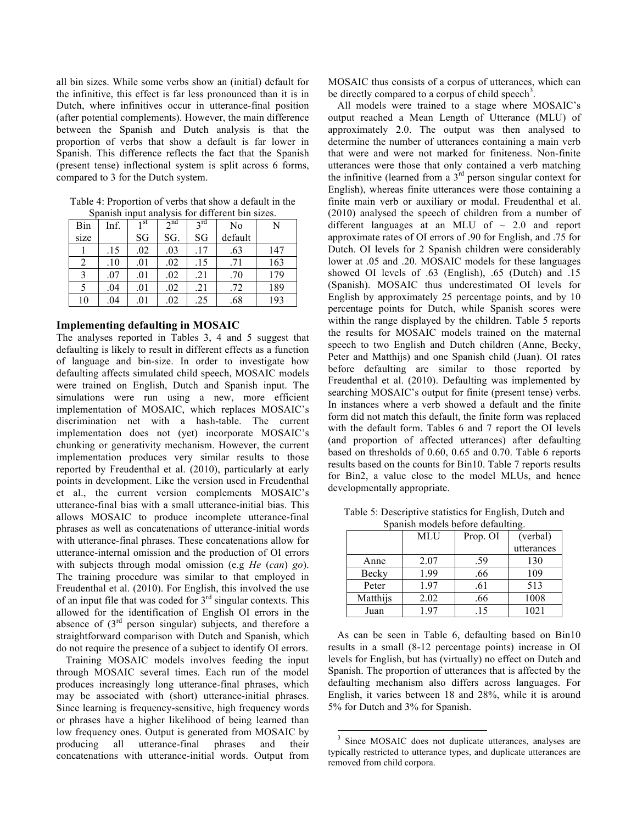all bin sizes. While some verbs show an (initial) default for the infinitive, this effect is far less pronounced than it is in Dutch, where infinitives occur in utterance-final position (after potential complements). However, the main difference between the Spanish and Dutch analysis is that the proportion of verbs that show a default is far lower in Spanish. This difference reflects the fact that the Spanish (present tense) inflectional system is split across 6 forms, compared to 3 for the Dutch system.

| Spainsii mput anarysis for unferent om sizes. |      |      |          |                 |         |     |
|-----------------------------------------------|------|------|----------|-----------------|---------|-----|
| Bin                                           | Inf. | 1 st | $2^{nd}$ | $2^{\text{rd}}$ | No      | N   |
| size                                          |      | SG   | SG.      | SG              | default |     |
|                                               | .15  | .02  | .03      | .17             | .63     | 147 |
|                                               | .10  | .01  | .02      | .15             | .71     | 163 |
|                                               | .07  | .01  | .02      | .21             | .70     | 179 |
|                                               | .04  | .01  | .02      | .21             | .72     | 189 |
| 10                                            | .04  | .01  | .02      | .25             | .68     | 193 |

Table 4: Proportion of verbs that show a default in the Spanish input analysis for different bin sizes.

## **Implementing defaulting in MOSAIC**

The analyses reported in Tables 3, 4 and 5 suggest that defaulting is likely to result in different effects as a function of language and bin-size. In order to investigate how defaulting affects simulated child speech, MOSAIC models were trained on English, Dutch and Spanish input. The simulations were run using a new, more efficient implementation of MOSAIC, which replaces MOSAIC's discrimination net with a hash-table. The current implementation does not (yet) incorporate MOSAIC's chunking or generativity mechanism. However, the current implementation produces very similar results to those reported by Freudenthal et al. (2010), particularly at early points in development. Like the version used in Freudenthal et al., the current version complements MOSAIC's utterance-final bias with a small utterance-initial bias. This allows MOSAIC to produce incomplete utterance-final phrases as well as concatenations of utterance-initial words with utterance-final phrases. These concatenations allow for utterance-internal omission and the production of OI errors with subjects through modal omission (e.g *He* (*can*) *go*). The training procedure was similar to that employed in Freudenthal et al. (2010). For English, this involved the use of an input file that was coded for  $3<sup>rd</sup>$  singular contexts. This allowed for the identification of English OI errors in the absence of  $(3<sup>rd</sup>$  person singular) subjects, and therefore a straightforward comparison with Dutch and Spanish, which do not require the presence of a subject to identify OI errors.

Training MOSAIC models involves feeding the input through MOSAIC several times. Each run of the model produces increasingly long utterance-final phrases, which may be associated with (short) utterance-initial phrases. Since learning is frequency-sensitive, high frequency words or phrases have a higher likelihood of being learned than low frequency ones. Output is generated from MOSAIC by producing all utterance-final phrases and their concatenations with utterance-initial words. Output from

MOSAIC thus consists of a corpus of utterances, which can be directly compared to a corpus of child speech<sup>3</sup>.

All models were trained to a stage where MOSAIC's output reached a Mean Length of Utterance (MLU) of approximately 2.0. The output was then analysed to determine the number of utterances containing a main verb that were and were not marked for finiteness. Non-finite utterances were those that only contained a verb matching the infinitive (learned from a  $3<sup>rd</sup>$  person singular context for English), whereas finite utterances were those containing a finite main verb or auxiliary or modal. Freudenthal et al. (2010) analysed the speech of children from a number of different languages at an MLU of  $\sim$  2.0 and report approximate rates of OI errors of .90 for English, and .75 for Dutch. OI levels for 2 Spanish children were considerably lower at .05 and .20. MOSAIC models for these languages showed OI levels of .63 (English), .65 (Dutch) and .15 (Spanish). MOSAIC thus underestimated OI levels for English by approximately 25 percentage points, and by 10 percentage points for Dutch, while Spanish scores were within the range displayed by the children. Table 5 reports the results for MOSAIC models trained on the maternal speech to two English and Dutch children (Anne, Becky, Peter and Matthijs) and one Spanish child (Juan). OI rates before defaulting are similar to those reported by Freudenthal et al. (2010). Defaulting was implemented by searching MOSAIC's output for finite (present tense) verbs. In instances where a verb showed a default and the finite form did not match this default, the finite form was replaced with the default form. Tables 6 and 7 report the OI levels (and proportion of affected utterances) after defaulting based on thresholds of 0.60, 0.65 and 0.70. Table 6 reports results based on the counts for Bin10. Table 7 reports results for Bin2, a value close to the model MLUs, and hence developmentally appropriate.

| spailisti models before defaulting. |            |          |            |  |
|-------------------------------------|------------|----------|------------|--|
|                                     | <b>MLU</b> | Prop. OI | (verbal)   |  |
|                                     |            |          | utterances |  |
| Anne                                | 2.07       | .59      | 130        |  |
| Becky                               | 1.99       | .66      | 109        |  |
| Peter                               | 1.97       | .61      | 513        |  |
| Matthijs                            | 2.02       | .66      | 1008       |  |
| Juan                                | 197        | -15      | 1021       |  |

Table 5: Descriptive statistics for English, Dutch and Spanish models before defaulting

As can be seen in Table 6, defaulting based on Bin10 results in a small (8-12 percentage points) increase in OI levels for English, but has (virtually) no effect on Dutch and Spanish. The proportion of utterances that is affected by the defaulting mechanism also differs across languages. For English, it varies between 18 and 28%, while it is around 5% for Dutch and 3% for Spanish.

Since MOSAIC does not duplicate utterances, analyses are typically restricted to utterance types, and duplicate utterances are removed from child corpora.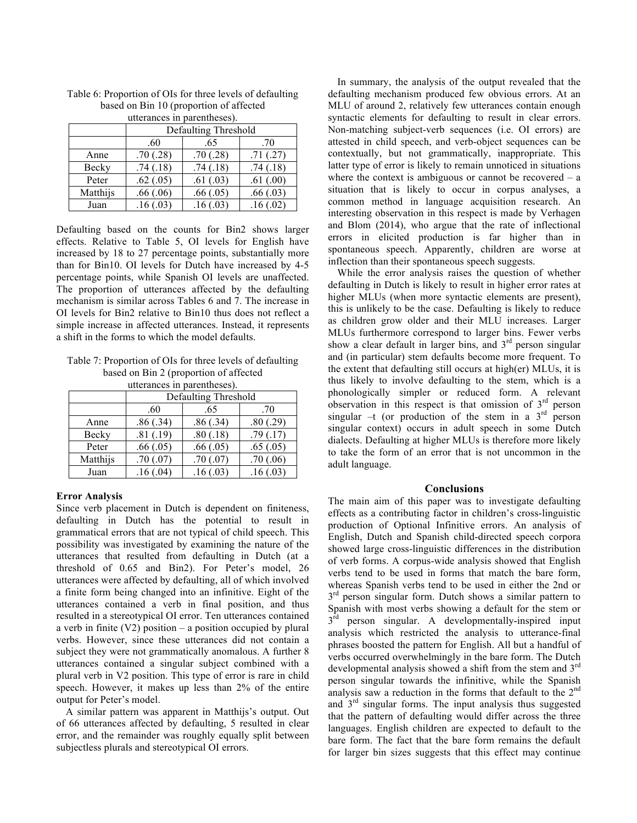| utterances in parentheses). |                      |          |          |  |  |
|-----------------------------|----------------------|----------|----------|--|--|
|                             | Defaulting Threshold |          |          |  |  |
|                             | .65<br>.60<br>.70    |          |          |  |  |
| Anne                        | .70(.28)             | .70(.28) | .71(.27) |  |  |
| Becky                       | .74(.18)             | .74(.18) | .74(.18) |  |  |
| Peter                       | .62(.05)             | .61(.03) | .61(.00) |  |  |
| Matthijs                    | .66(.06)             | .66(.05) | .66(.03) |  |  |
| Juan                        | .16(.03)             | .16(.03) | .16(.02) |  |  |

Table 6: Proportion of OIs for three levels of defaulting based on Bin 10 (proportion of affected

Defaulting based on the counts for Bin2 shows larger effects. Relative to Table 5, OI levels for English have increased by 18 to 27 percentage points, substantially more than for Bin10. OI levels for Dutch have increased by 4-5 percentage points, while Spanish OI levels are unaffected. The proportion of utterances affected by the defaulting mechanism is similar across Tables 6 and 7. The increase in OI levels for Bin2 relative to Bin10 thus does not reflect a simple increase in affected utterances. Instead, it represents a shift in the forms to which the model defaults.

Table 7: Proportion of OIs for three levels of defaulting based on Bin 2 (proportion of affected

utterances in parentheses).

|          | Defaulting Threshold |          |          |  |
|----------|----------------------|----------|----------|--|
|          | .60                  | .70      |          |  |
| Anne     | .86(.34)             | .86(.34) | .80(.29) |  |
| Becky    | .81(.19)             | .80(.18) | .79(.17) |  |
| Peter    | .66(.05)             | .66(.05) | .65(.05) |  |
| Matthijs | .70(.07)             | .70(.07) | .70(.06) |  |
| Juan     | .16(.04)             | .16(.03) | .16(.03) |  |

## **Error Analysis**

Since verb placement in Dutch is dependent on finiteness, defaulting in Dutch has the potential to result in grammatical errors that are not typical of child speech. This possibility was investigated by examining the nature of the utterances that resulted from defaulting in Dutch (at a threshold of 0.65 and Bin2). For Peter's model, 26 utterances were affected by defaulting, all of which involved a finite form being changed into an infinitive. Eight of the utterances contained a verb in final position, and thus resulted in a stereotypical OI error. Ten utterances contained a verb in finite (V2) position – a position occupied by plural verbs. However, since these utterances did not contain a subject they were not grammatically anomalous. A further 8 utterances contained a singular subject combined with a plural verb in V2 position. This type of error is rare in child speech. However, it makes up less than 2% of the entire output for Peter's model.

A similar pattern was apparent in Matthijs's output. Out of 66 utterances affected by defaulting, 5 resulted in clear error, and the remainder was roughly equally split between subjectless plurals and stereotypical OI errors.

In summary, the analysis of the output revealed that the defaulting mechanism produced few obvious errors. At an MLU of around 2, relatively few utterances contain enough syntactic elements for defaulting to result in clear errors. Non-matching subject-verb sequences (i.e. OI errors) are attested in child speech, and verb-object sequences can be contextually, but not grammatically, inappropriate. This latter type of error is likely to remain unnoticed in situations where the context is ambiguous or cannot be recovered  $-$  a situation that is likely to occur in corpus analyses, a common method in language acquisition research. An interesting observation in this respect is made by Verhagen and Blom (2014), who argue that the rate of inflectional errors in elicited production is far higher than in spontaneous speech. Apparently, children are worse at inflection than their spontaneous speech suggests.

While the error analysis raises the question of whether defaulting in Dutch is likely to result in higher error rates at higher MLUs (when more syntactic elements are present), this is unlikely to be the case. Defaulting is likely to reduce as children grow older and their MLU increases. Larger MLUs furthermore correspond to larger bins. Fewer verbs show a clear default in larger bins, and  $3<sup>rd</sup>$  person singular and (in particular) stem defaults become more frequent. To the extent that defaulting still occurs at high(er) MLUs, it is thus likely to involve defaulting to the stem, which is a phonologically simpler or reduced form. A relevant observation in this respect is that omission of  $3<sup>rd</sup>$  person singular –t (or production of the stem in a  $3<sup>rd</sup>$  person singular context) occurs in adult speech in some Dutch dialects. Defaulting at higher MLUs is therefore more likely to take the form of an error that is not uncommon in the adult language.

#### **Conclusions**

The main aim of this paper was to investigate defaulting effects as a contributing factor in children's cross-linguistic production of Optional Infinitive errors. An analysis of English, Dutch and Spanish child-directed speech corpora showed large cross-linguistic differences in the distribution of verb forms. A corpus-wide analysis showed that English verbs tend to be used in forms that match the bare form, whereas Spanish verbs tend to be used in either the 2nd or  $3<sup>rd</sup>$  person singular form. Dutch shows a similar pattern to Spanish with most verbs showing a default for the stem or  $3<sup>rd</sup>$  person singular. A developmentally-inspired input analysis which restricted the analysis to utterance-final phrases boosted the pattern for English. All but a handful of verbs occurred overwhelmingly in the bare form. The Dutch developmental analysis showed a shift from the stem and 3<sup>rd</sup> person singular towards the infinitive, while the Spanish analysis saw a reduction in the forms that default to the 2<sup>nd</sup> and 3rd singular forms. The input analysis thus suggested that the pattern of defaulting would differ across the three languages. English children are expected to default to the bare form. The fact that the bare form remains the default for larger bin sizes suggests that this effect may continue